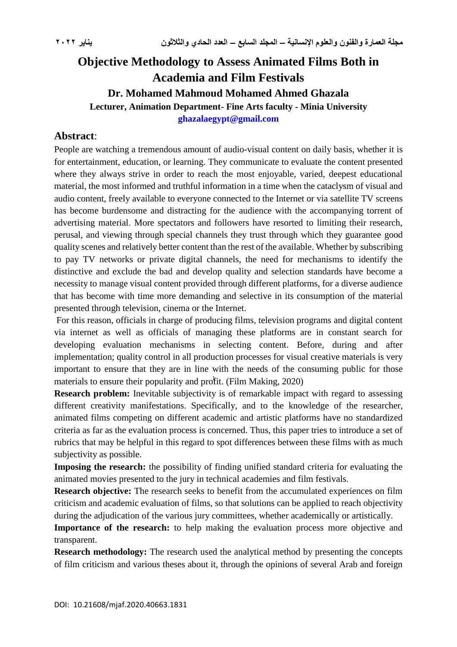# **Objective Methodology to Assess Animated Films Both in Academia and Film Festivals Dr. Mohamed Mahmoud Mohamed Ahmed Ghazala Lecturer, Animation Department- Fine Arts faculty - Minia University [ghazalaegypt@gmail.com](mailto:ghazalaegypt@gmail.com)**

### **Abstract**:

People are watching a tremendous amount of audio-visual content on daily basis, whether it is for entertainment, education, or learning. They communicate to evaluate the content presented where they always strive in order to reach the most enjoyable, varied, deepest educational material, the most informed and truthful information in a time when the cataclysm of visual and audio content, freely available to everyone connected to the Internet or via satellite TV screens has become burdensome and distracting for the audience with the accompanying torrent of advertising material. More spectators and followers have resorted to limiting their research, perusal, and viewing through special channels they trust through which they guarantee good quality scenes and relatively better content than the rest of the available. Whether by subscribing to pay TV networks or private digital channels, the need for mechanisms to identify the distinctive and exclude the bad and develop quality and selection standards have become a necessity to manage visual content provided through different platforms, for a diverse audience that has become with time more demanding and selective in its consumption of the material presented through television, cinema or the Internet.

For this reason, officials in charge of producing films, television programs and digital content via internet as well as officials of managing these platforms are in constant search for developing evaluation mechanisms in selecting content. Before, during and after implementation; quality control in all production processes for visual creative materials is very important to ensure that they are in line with the needs of the consuming public for those materials to ensure their popularity and profit. (Film Making, 2020) <sup>1</sup>

**Research problem:** Inevitable subjectivity is of remarkable impact with regard to assessing different creativity manifestations. Specifically, and to the knowledge of the researcher, animated films competing on different academic and artistic platforms have no standardized criteria as far as the evaluation process is concerned. Thus, this paper tries to introduce a set of rubrics that may be helpful in this regard to spot differences between these films with as much subjectivity as possible.

**Imposing the research:** the possibility of finding unified standard criteria for evaluating the animated movies presented to the jury in technical academies and film festivals.

**Research objective:** The research seeks to benefit from the accumulated experiences on film criticism and academic evaluation of films, so that solutions can be applied to reach objectivity during the adjudication of the various jury committees, whether academically or artistically.

Importance of the research: to help making the evaluation process more objective and transparent.

**Research methodology:** The research used the analytical method by presenting the concepts of film criticism and various theses about it, through the opinions of several Arab and foreign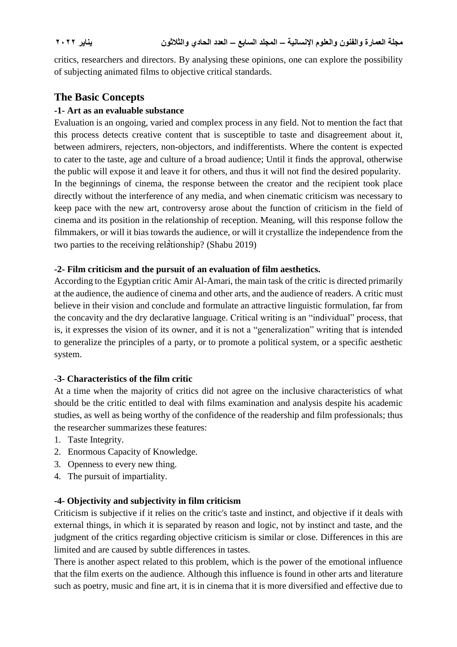critics, researchers and directors. By analysing these opinions, one can explore the possibility of subjecting animated films to objective critical standards.

## **The Basic Concepts**

#### **-1- Art as an evaluable substance**

Evaluation is an ongoing, varied and complex process in any field. Not to mention the fact that this process detects creative content that is susceptible to taste and disagreement about it, between admirers, rejecters, non-objectors, and indifferentists. Where the content is expected to cater to the taste, age and culture of a broad audience; Until it finds the approval, otherwise the public will expose it and leave it for others, and thus it will not find the desired popularity. In the beginnings of cinema, the response between the creator and the recipient took place directly without the interference of any media, and when cinematic criticism was necessary to keep pace with the new art, controversy arose about the function of criticism in the field of cinema and its position in the relationship of reception. Meaning, will this response follow the filmmakers, or will it bias towards the audience, or will it crystallize the independence from the two parties to the receiving relationship? (Shabu 2019)

#### **-2- Film criticism and the pursuit of an evaluation of film aesthetics.**

According to the Egyptian critic Amir Al-Amari, the main task of the critic is directed primarily at the audience, the audience of cinema and other arts, and the audience of readers. A critic must believe in their vision and conclude and formulate an attractive linguistic formulation, far from the concavity and the dry declarative language. Critical writing is an "individual" process, that is, it expresses the vision of its owner, and it is not a "generalization" writing that is intended to generalize the principles of a party, or to promote a political system, or a specific aesthetic system.

#### **-3- Characteristics of the film critic**

At a time when the majority of critics did not agree on the inclusive characteristics of what should be the critic entitled to deal with films examination and analysis despite his academic studies, as well as being worthy of the confidence of the readership and film professionals; thus the researcher summarizes these features:

- 1. Taste Integrity.
- 2. Enormous Capacity of Knowledge.
- 3. Openness to every new thing.
- 4. The pursuit of impartiality.

### **-4- Objectivity and subjectivity in film criticism**

Criticism is subjective if it relies on the critic's taste and instinct, and objective if it deals with external things, in which it is separated by reason and logic, not by instinct and taste, and the judgment of the critics regarding objective criticism is similar or close. Differences in this are limited and are caused by subtle differences in tastes.

There is another aspect related to this problem, which is the power of the emotional influence that the film exerts on the audience. Although this influence is found in other arts and literature such as poetry, music and fine art, it is in cinema that it is more diversified and effective due to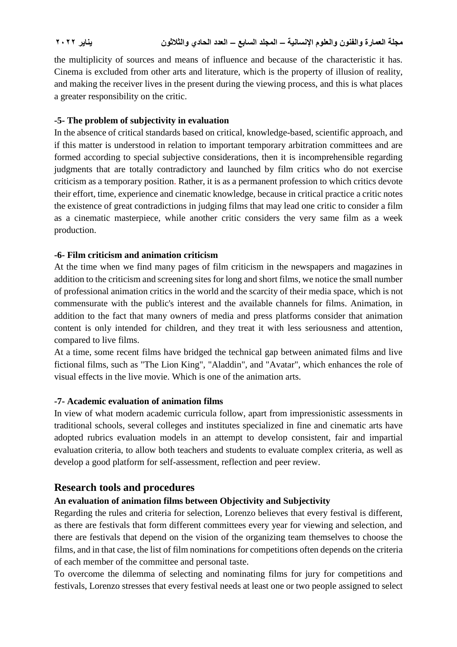the multiplicity of sources and means of influence and because of the characteristic it has. Cinema is excluded from other arts and literature, which is the property of illusion of reality, and making the receiver lives in the present during the viewing process, and this is what places a greater responsibility on the critic.

### **-5- The problem of subjectivity in evaluation**

In the absence of critical standards based on critical, knowledge-based, scientific approach, and if this matter is understood in relation to important temporary arbitration committees and are formed according to special subjective considerations, then it is incomprehensible regarding judgments that are totally contradictory and launched by film critics who do not exercise criticism as a temporary position. Rather, it is as a permanent profession to which critics devote their effort, time, experience and cinematic knowledge, because in critical practice a critic notes the existence of great contradictions in judging films that may lead one critic to consider a film as a cinematic masterpiece, while another critic considers the very same film as a week production.

#### **-6- Film criticism and animation criticism**

At the time when we find many pages of film criticism in the newspapers and magazines in addition to the criticism and screening sites for long and short films, we notice the small number of professional animation critics in the world and the scarcity of their media space, which is not commensurate with the public's interest and the available channels for films. Animation, in addition to the fact that many owners of media and press platforms consider that animation content is only intended for children, and they treat it with less seriousness and attention, compared to live films.

At a time, some recent films have bridged the technical gap between animated films and live fictional films, such as "The Lion King", "Aladdin", and "Avatar", which enhances the role of visual effects in the live movie. Which is one of the animation arts.

#### **-7- Academic evaluation of animation films**

In view of what modern academic curricula follow, apart from impressionistic assessments in traditional schools, several colleges and institutes specialized in fine and cinematic arts have adopted rubrics evaluation models in an attempt to develop consistent, fair and impartial evaluation criteria, to allow both teachers and students to evaluate complex criteria, as well as develop a good platform for self-assessment, reflection and peer review.

## **Research tools and procedures**

### **An evaluation of animation films between Objectivity and Subjectivity**

Regarding the rules and criteria for selection, Lorenzo believes that every festival is different, as there are festivals that form different committees every year for viewing and selection, and there are festivals that depend on the vision of the organizing team themselves to choose the films, and in that case, the list of film nominations for competitions often depends on the criteria of each member of the committee and personal taste.

To overcome the dilemma of selecting and nominating films for jury for competitions and festivals, Lorenzo stresses that every festival needs at least one or two people assigned to select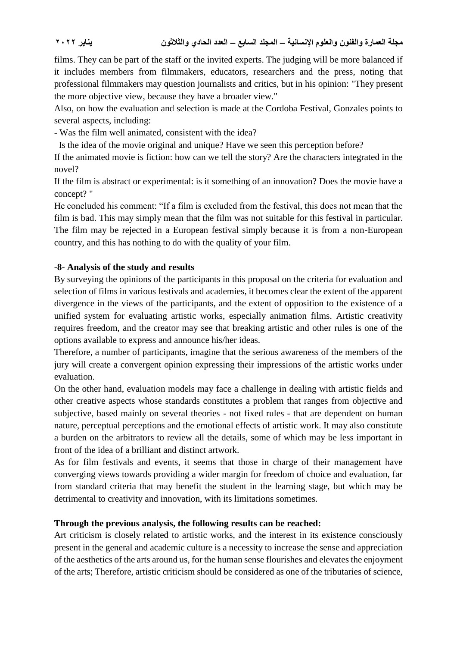films. They can be part of the staff or the invited experts. The judging will be more balanced if it includes members from filmmakers, educators, researchers and the press, noting that professional filmmakers may question journalists and critics, but in his opinion: "They present the more objective view, because they have a broader view."

Also, on how the evaluation and selection is made at the Cordoba Festival, Gonzales points to several aspects, including:

- Was the film well animated, consistent with the idea?

Is the idea of the movie original and unique? Have we seen this perception before?

If the animated movie is fiction: how can we tell the story? Are the characters integrated in the novel?

If the film is abstract or experimental: is it something of an innovation? Does the movie have a concept? "

He concluded his comment: "If a film is excluded from the festival, this does not mean that the film is bad. This may simply mean that the film was not suitable for this festival in particular. The film may be rejected in a European festival simply because it is from a non-European country, and this has nothing to do with the quality of your film.

#### **-8- Analysis of the study and results**

By surveying the opinions of the participants in this proposal on the criteria for evaluation and selection of films in various festivals and academies, it becomes clear the extent of the apparent divergence in the views of the participants, and the extent of opposition to the existence of a unified system for evaluating artistic works, especially animation films. Artistic creativity requires freedom, and the creator may see that breaking artistic and other rules is one of the options available to express and announce his/her ideas.

Therefore, a number of participants, imagine that the serious awareness of the members of the jury will create a convergent opinion expressing their impressions of the artistic works under evaluation.

On the other hand, evaluation models may face a challenge in dealing with artistic fields and other creative aspects whose standards constitutes a problem that ranges from objective and subjective, based mainly on several theories - not fixed rules - that are dependent on human nature, perceptual perceptions and the emotional effects of artistic work. It may also constitute a burden on the arbitrators to review all the details, some of which may be less important in front of the idea of a brilliant and distinct artwork.

As for film festivals and events, it seems that those in charge of their management have converging views towards providing a wider margin for freedom of choice and evaluation, far from standard criteria that may benefit the student in the learning stage, but which may be detrimental to creativity and innovation, with its limitations sometimes.

#### **Through the previous analysis, the following results can be reached:**

Art criticism is closely related to artistic works, and the interest in its existence consciously present in the general and academic culture is a necessity to increase the sense and appreciation of the aesthetics of the arts around us, for the human sense flourishes and elevates the enjoyment of the arts; Therefore, artistic criticism should be considered as one of the tributaries of science,